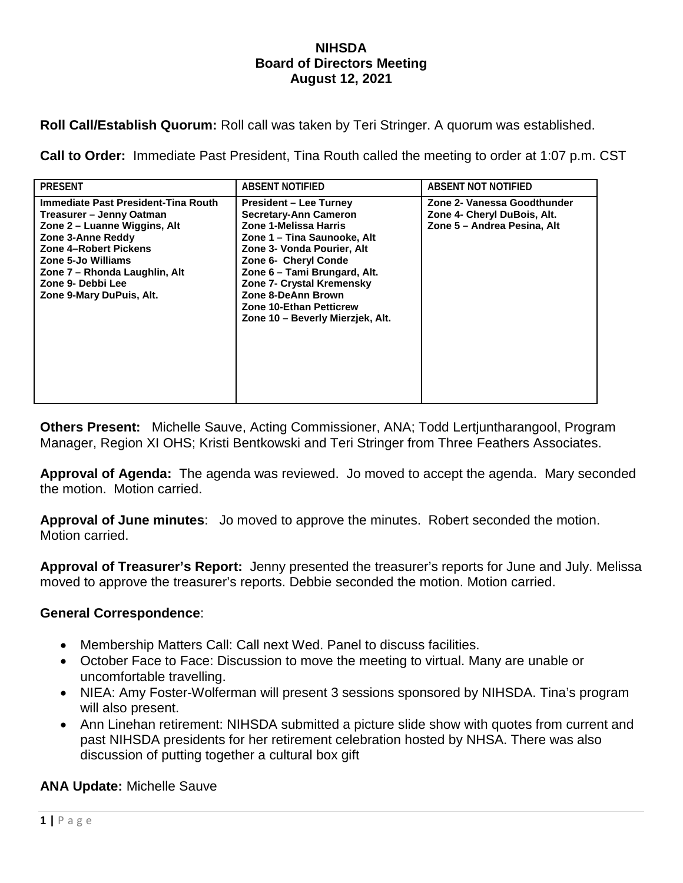### **NIHSDA Board of Directors Meeting August 12, 2021**

**Roll Call/Establish Quorum:** Roll call was taken by Teri Stringer. A quorum was established.

**Call to Order:** Immediate Past President, Tina Routh called the meeting to order at 1:07 p.m. CST

| <b>PRESENT</b>                                                                                                                                                                                                                                               | <b>ABSENT NOTIFIED</b>                                                                                                                                                                                                                                                                                                               | ABSENT NOT NOTIFIED                                                                       |
|--------------------------------------------------------------------------------------------------------------------------------------------------------------------------------------------------------------------------------------------------------------|--------------------------------------------------------------------------------------------------------------------------------------------------------------------------------------------------------------------------------------------------------------------------------------------------------------------------------------|-------------------------------------------------------------------------------------------|
| Immediate Past President-Tina Routh<br>Treasurer – Jenny Oatman<br>Zone 2 – Luanne Wiggins, Alt<br>Zone 3-Anne Reddy<br><b>Zone 4-Robert Pickens</b><br>Zone 5-Jo Williams<br>Zone 7 - Rhonda Laughlin, Alt<br>Zone 9- Debbi Lee<br>Zone 9-Mary DuPuis, Alt. | <b>President – Lee Turney</b><br><b>Secretary-Ann Cameron</b><br>Zone 1-Melissa Harris<br>Zone 1 - Tina Saunooke, Alt<br>Zone 3- Vonda Pourier, Alt<br>Zone 6- Cheryl Conde<br>Zone 6 - Tami Brungard, Alt.<br>Zone 7- Crystal Kremensky<br>Zone 8-DeAnn Brown<br><b>Zone 10-Ethan Petticrew</b><br>Zone 10 - Beverly Mierzjek, Alt. | Zone 2- Vanessa Goodthunder<br>Zone 4- Cheryl DuBois, Alt.<br>Zone 5 - Andrea Pesina, Alt |

**Others Present:** Michelle Sauve, Acting Commissioner, ANA; Todd Lertjuntharangool, Program Manager, Region XI OHS; Kristi Bentkowski and Teri Stringer from Three Feathers Associates.

**Approval of Agenda:** The agenda was reviewed. Jo moved to accept the agenda. Mary seconded the motion. Motion carried.

**Approval of June minutes**: Jo moved to approve the minutes. Robert seconded the motion. Motion carried.

**Approval of Treasurer's Report:** Jenny presented the treasurer's reports for June and July. Melissa moved to approve the treasurer's reports. Debbie seconded the motion. Motion carried.

## **General Correspondence**:

- Membership Matters Call: Call next Wed. Panel to discuss facilities.
- October Face to Face: Discussion to move the meeting to virtual. Many are unable or uncomfortable travelling.
- NIEA: Amy Foster-Wolferman will present 3 sessions sponsored by NIHSDA. Tina's program will also present.
- Ann Linehan retirement: NIHSDA submitted a picture slide show with quotes from current and past NIHSDA presidents for her retirement celebration hosted by NHSA. There was also discussion of putting together a cultural box gift

**ANA Update:** Michelle Sauve